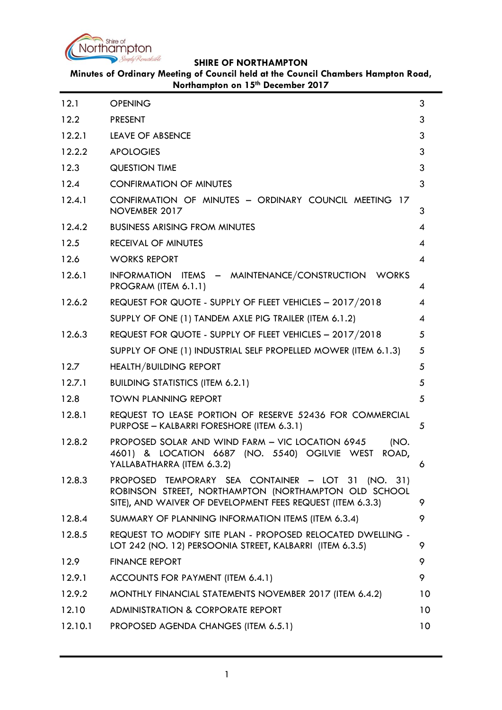

**Minutes of Ordinary Meeting of Council held at the Council Chambers Hampton Road, Northampton on 15th December 2017**

| 12.1    | <b>OPENING</b>                                                                                                                                                           | 3               |
|---------|--------------------------------------------------------------------------------------------------------------------------------------------------------------------------|-----------------|
| 12.2    | <b>PRESENT</b>                                                                                                                                                           | 3               |
| 12.2.1  | <b>LEAVE OF ABSENCE</b>                                                                                                                                                  | 3               |
| 12.2.2  | <b>APOLOGIES</b>                                                                                                                                                         | 3               |
| 12.3    | <b>QUESTION TIME</b>                                                                                                                                                     | 3               |
| 12.4    | <b>CONFIRMATION OF MINUTES</b>                                                                                                                                           | 3               |
| 12.4.1  | CONFIRMATION OF MINUTES - ORDINARY COUNCIL MEETING 17<br>NOVEMBER 2017                                                                                                   | 3               |
| 12.4.2  | <b>BUSINESS ARISING FROM MINUTES</b>                                                                                                                                     | 4               |
| 12.5    | <b>RECEIVAL OF MINUTES</b>                                                                                                                                               | 4               |
| 12.6    | <b>WORKS REPORT</b>                                                                                                                                                      | 4               |
| 12.6.1  | INFORMATION ITEMS - MAINTENANCE/CONSTRUCTION WORKS<br>PROGRAM (ITEM 6.1.1)                                                                                               | 4               |
| 12.6.2  | REQUEST FOR QUOTE - SUPPLY OF FLEET VEHICLES - 2017/2018                                                                                                                 | 4               |
|         | SUPPLY OF ONE (1) TANDEM AXLE PIG TRAILER (ITEM 6.1.2)                                                                                                                   | 4               |
| 12.6.3  | REQUEST FOR QUOTE - SUPPLY OF FLEET VEHICLES - 2017/2018                                                                                                                 | 5               |
|         | SUPPLY OF ONE (1) INDUSTRIAL SELF PROPELLED MOWER (ITEM 6.1.3)                                                                                                           | 5               |
| 12.7    | <b>HEALTH/BUILDING REPORT</b>                                                                                                                                            | 5               |
| 12.7.1  | <b>BUILDING STATISTICS (ITEM 6.2.1)</b>                                                                                                                                  | 5               |
| 12.8    | <b>TOWN PLANNING REPORT</b>                                                                                                                                              | 5               |
| 12.8.1  | REQUEST TO LEASE PORTION OF RESERVE 52436 FOR COMMERCIAL<br>PURPOSE - KALBARRI FORESHORE (ITEM 6.3.1)                                                                    | 5               |
| 12.8.2  | PROPOSED SOLAR AND WIND FARM - VIC LOCATION 6945<br>(NO.<br>4601) & LOCATION 6687 (NO. 5540) OGILVIE WEST<br>ROAD,<br>YALLABATHARRA (ITEM 6.3.2)                         | 6               |
| 12.8.3  | PROPOSED TEMPORARY SEA CONTAINER - LOT 31 (NO. 31)<br>ROBINSON STREET, NORTHAMPTON (NORTHAMPTON OLD SCHOOL<br>SITE), AND WAIVER OF DEVELOPMENT FEES REQUEST (ITEM 6.3.3) | 9               |
| 12.8.4  | SUMMARY OF PLANNING INFORMATION ITEMS (ITEM 6.3.4)                                                                                                                       | 9               |
| 12.8.5  | REQUEST TO MODIFY SITE PLAN - PROPOSED RELOCATED DWELLING -<br>LOT 242 (NO. 12) PERSOONIA STREET, KALBARRI (ITEM 6.3.5)                                                  | 9               |
| 12.9    | <b>FINANCE REPORT</b>                                                                                                                                                    | 9               |
| 12.9.1  | ACCOUNTS FOR PAYMENT (ITEM 6.4.1)                                                                                                                                        | 9               |
| 12.9.2  | MONTHLY FINANCIAL STATEMENTS NOVEMBER 2017 (ITEM 6.4.2)                                                                                                                  | 10              |
| 12.10   | <b>ADMINISTRATION &amp; CORPORATE REPORT</b>                                                                                                                             | 10 <sup>°</sup> |
| 12.10.1 | PROPOSED AGENDA CHANGES (ITEM 6.5.1)                                                                                                                                     | 10 <sup>°</sup> |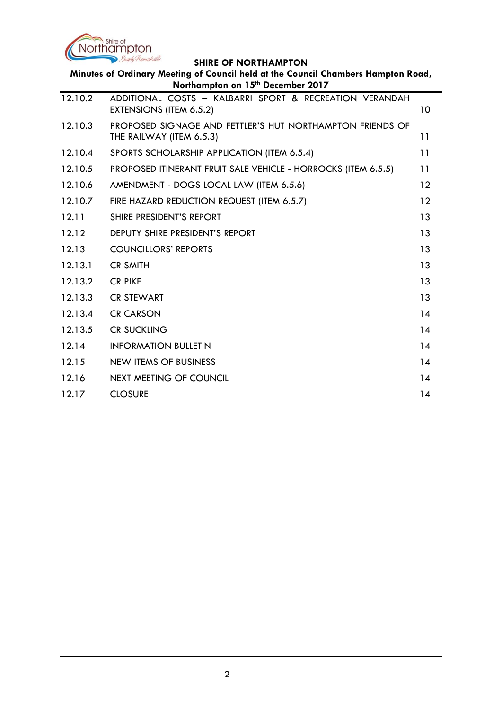

| <b>SHIKE OF NORTHAMPION</b><br>Minutes of Ordinary Meeting of Council held at the Council Chambers Hampton Road,<br>Northampton on 15th December 2017 |                                                                                       |    |
|-------------------------------------------------------------------------------------------------------------------------------------------------------|---------------------------------------------------------------------------------------|----|
| 12.10.2                                                                                                                                               | ADDITIONAL COSTS - KALBARRI SPORT & RECREATION VERANDAH<br>EXTENSIONS (ITEM 6.5.2)    | 10 |
| 12.10.3                                                                                                                                               | PROPOSED SIGNAGE AND FETTLER'S HUT NORTHAMPTON FRIENDS OF<br>THE RAILWAY (ITEM 6.5.3) | 11 |
| 12.10.4                                                                                                                                               | SPORTS SCHOLARSHIP APPLICATION (ITEM 6.5.4)                                           | 11 |
| 12.10.5                                                                                                                                               | PROPOSED ITINERANT FRUIT SALE VEHICLE - HORROCKS (ITEM 6.5.5)                         | 11 |
| 12.10.6                                                                                                                                               | AMENDMENT - DOGS LOCAL LAW (ITEM 6.5.6)                                               | 12 |
| 12.10.7                                                                                                                                               | FIRE HAZARD REDUCTION REQUEST (ITEM 6.5.7)                                            | 12 |
| 12.11                                                                                                                                                 | SHIRE PRESIDENT'S REPORT                                                              | 13 |
| 12.12                                                                                                                                                 | <b>DEPUTY SHIRE PRESIDENT'S REPORT</b>                                                | 13 |
| 12.13                                                                                                                                                 | <b>COUNCILLORS' REPORTS</b>                                                           | 13 |
| 12.13.1                                                                                                                                               | <b>CR SMITH</b>                                                                       | 13 |
| 12.13.2                                                                                                                                               | <b>CR PIKE</b>                                                                        | 13 |
| 12.13.3                                                                                                                                               | <b>CR STEWART</b>                                                                     | 13 |
| 12.13.4                                                                                                                                               | <b>CR CARSON</b>                                                                      | 14 |
| 12.13.5                                                                                                                                               | <b>CR SUCKLING</b>                                                                    | 14 |
| 12.14                                                                                                                                                 | <b>INFORMATION BULLETIN</b>                                                           | 14 |
| 12.15                                                                                                                                                 | <b>NEW ITEMS OF BUSINESS</b>                                                          | 14 |
| 12.16                                                                                                                                                 | <b>NEXT MEETING OF COUNCIL</b>                                                        | 14 |
| 12.17                                                                                                                                                 | <b>CLOSURE</b>                                                                        | 14 |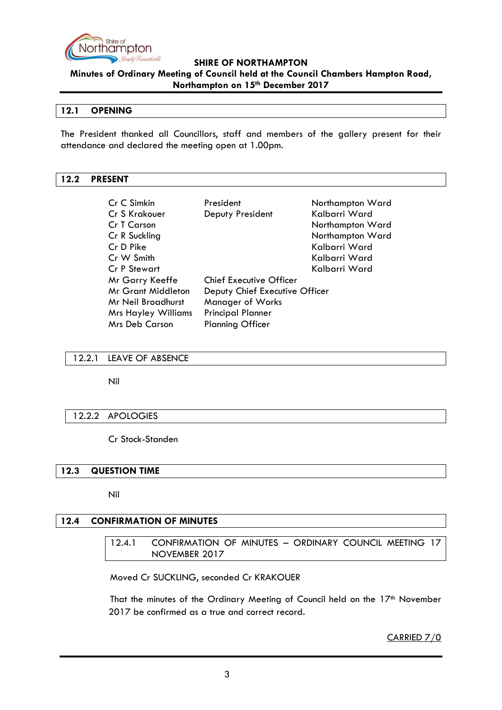

**Minutes of Ordinary Meeting of Council held at the Council Chambers Hampton Road, Northampton on 15th December 2017**

## <span id="page-2-0"></span>**12.1 OPENING**

The President thanked all Councillors, staff and members of the gallery present for their attendance and declared the meeting open at 1.00pm.

### <span id="page-2-1"></span>**12.2 PRESENT**

| Cr C Simkin                | President                      | Northampton Ward |
|----------------------------|--------------------------------|------------------|
| Cr S Krakouer              | Deputy President               | Kalbarri Ward    |
| Cr T Carson                |                                | Northampton Ward |
| Cr R Suckling              |                                | Northampton Ward |
| Cr D Pike                  |                                | Kalbarri Ward    |
| Cr W Smith                 |                                | Kalbarri Ward    |
| Cr P Stewart               |                                | Kalbarri Ward    |
| Mr Garry Keeffe            | <b>Chief Executive Officer</b> |                  |
| <b>Mr Grant Middleton</b>  | Deputy Chief Executive Officer |                  |
| Mr Neil Broadhurst         | <b>Manager of Works</b>        |                  |
| <b>Mrs Hayley Williams</b> | <b>Principal Planner</b>       |                  |
| <b>Mrs Deb Carson</b>      | <b>Planning Officer</b>        |                  |

### <span id="page-2-2"></span>12.2.1 LEAVE OF ABSENCE

Nil

### <span id="page-2-3"></span>12.2.2 APOLOGIES

### Cr Stock-Standen

## <span id="page-2-4"></span>**12.3 QUESTION TIME**

Nil

# <span id="page-2-6"></span><span id="page-2-5"></span>**12.4 CONFIRMATION OF MINUTES**

12.4.1 CONFIRMATION OF MINUTES – ORDINARY COUNCIL MEETING 17 NOVEMBER 2017

Moved Cr SUCKLING, seconded Cr KRAKOUER

That the minutes of the Ordinary Meeting of Council held on the 17<sup>th</sup> November 2017 be confirmed as a true and correct record.

CARRIED 7/0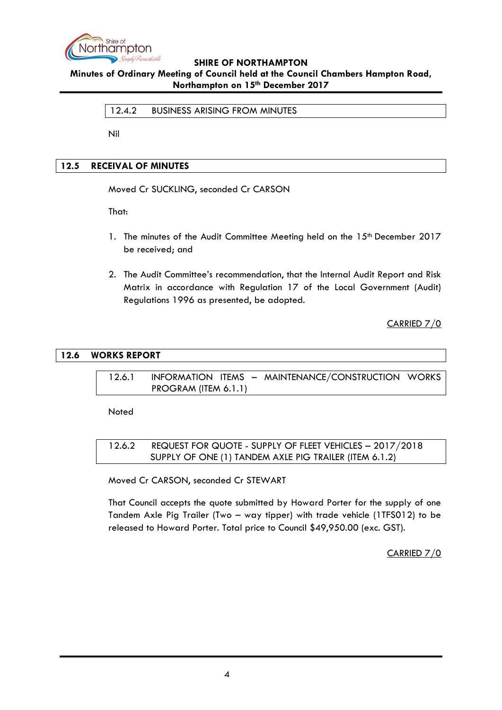

# <span id="page-3-0"></span>**Minutes of Ordinary Meeting of Council held at the Council Chambers Hampton Road, Northampton on 15th December 2017**

### 12.4.2 BUSINESS ARISING FROM MINUTES

Nil

## <span id="page-3-1"></span>**12.5 RECEIVAL OF MINUTES**

Moved Cr SUCKLING, seconded Cr CARSON

That:

- 1. The minutes of the Audit Committee Meeting held on the 15<sup>th</sup> December 2017 be received; and
- 2. The Audit Committee's recommendation, that the Internal Audit Report and Risk Matrix in accordance with Regulation 17 of the Local Government (Audit) Regulations 1996 as presented, be adopted.

CARRIED 7/0

### <span id="page-3-3"></span><span id="page-3-2"></span>**12.6 WORKS REPORT**

12.6.1 INFORMATION ITEMS – MAINTENANCE/CONSTRUCTION WORKS PROGRAM (ITEM 6.1.1)

**Noted** 

<span id="page-3-5"></span><span id="page-3-4"></span>12.6.2 REQUEST FOR QUOTE - SUPPLY OF FLEET VEHICLES – 2017/2018 SUPPLY OF ONE (1) TANDEM AXLE PIG TRAILER (ITEM 6.1.2)

Moved Cr CARSON, seconded Cr STEWART

That Council accepts the quote submitted by Howard Porter for the supply of one Tandem Axle Pig Trailer (Two – way tipper) with trade vehicle (1TFS012) to be released to Howard Porter. Total price to Council \$49,950.00 (exc. GST).

CARRIED 7/0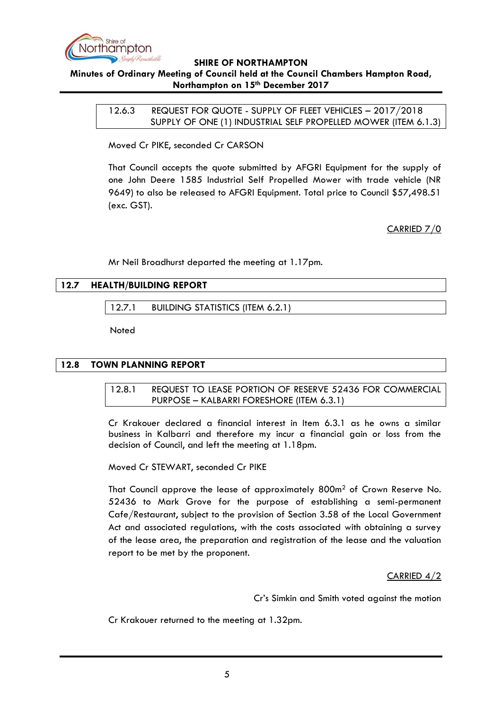

# <span id="page-4-0"></span>**Minutes of Ordinary Meeting of Council held at the Council Chambers Hampton Road, Northampton on 15th December 2017**

<span id="page-4-1"></span>12.6.3 REQUEST FOR QUOTE - SUPPLY OF FLEET VEHICLES – 2017/2018 SUPPLY OF ONE (1) INDUSTRIAL SELF PROPELLED MOWER (ITEM 6.1.3)

Moved Cr PIKE, seconded Cr CARSON

That Council accepts the quote submitted by AFGRI Equipment for the supply of one John Deere 1585 Industrial Self Propelled Mower with trade vehicle (NR 9649) to also be released to AFGRI Equipment. Total price to Council \$57,498.51 (exc. GST).

CARRIED 7/0

Mr Neil Broadhurst departed the meeting at 1.17pm.

## <span id="page-4-3"></span><span id="page-4-2"></span>**12.7 HEALTH/BUILDING REPORT**

12.7.1 BUILDING STATISTICS (ITEM 6.2.1)

**Noted** 

### <span id="page-4-5"></span><span id="page-4-4"></span>**12.8 TOWN PLANNING REPORT**

12.8.1 REQUEST TO LEASE PORTION OF RESERVE 52436 FOR COMMERCIAL PURPOSE – KALBARRI FORESHORE (ITEM 6.3.1)

Cr Krakouer declared a financial interest in Item 6.3.1 as he owns a similar business in Kalbarri and therefore my incur a financial gain or loss from the decision of Council, and left the meeting at 1.18pm.

Moved Cr STEWART, seconded Cr PIKE

That Council approve the lease of approximately 800m<sup>2</sup> of Crown Reserve No. 52436 to Mark Grove for the purpose of establishing a semi-permanent Cafe/Restaurant, subject to the provision of Section 3.58 of the Local Government Act and associated regulations, with the costs associated with obtaining a survey of the lease area, the preparation and registration of the lease and the valuation report to be met by the proponent.

## CARRIED 4/2

Cr's Simkin and Smith voted against the motion

Cr Krakouer returned to the meeting at 1.32pm.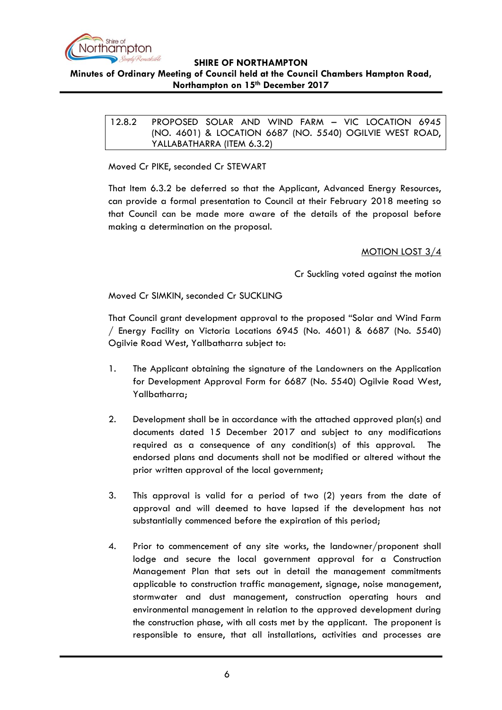

# <span id="page-5-0"></span>**Minutes of Ordinary Meeting of Council held at the Council Chambers Hampton Road, Northampton on 15th December 2017**

12.8.2 PROPOSED SOLAR AND WIND FARM – VIC LOCATION 6945 (NO. 4601) & LOCATION 6687 (NO. 5540) OGILVIE WEST ROAD, YALLABATHARRA (ITEM 6.3.2)

Moved Cr PIKE, seconded Cr STEWART

That Item 6.3.2 be deferred so that the Applicant, Advanced Energy Resources, can provide a formal presentation to Council at their February 2018 meeting so that Council can be made more aware of the details of the proposal before making a determination on the proposal.

## MOTION LOST 3/4

Cr Suckling voted against the motion

Moved Cr SIMKIN, seconded Cr SUCKLING

That Council grant development approval to the proposed "Solar and Wind Farm / Energy Facility on Victoria Locations 6945 (No. 4601) & 6687 (No. 5540) Ogilvie Road West, Yallbatharra subject to:

- 1. The Applicant obtaining the signature of the Landowners on the Application for Development Approval Form for 6687 (No. 5540) Ogilvie Road West, Yallbatharra;
- 2. Development shall be in accordance with the attached approved plan(s) and documents dated 15 December 2017 and subject to any modifications required as a consequence of any condition(s) of this approval. The endorsed plans and documents shall not be modified or altered without the prior written approval of the local government;
- 3. This approval is valid for a period of two (2) years from the date of approval and will deemed to have lapsed if the development has not substantially commenced before the expiration of this period;
- 4. Prior to commencement of any site works, the landowner/proponent shall lodge and secure the local government approval for a Construction Management Plan that sets out in detail the management commitments applicable to construction traffic management, signage, noise management, stormwater and dust management, construction operating hours and environmental management in relation to the approved development during the construction phase, with all costs met by the applicant. The proponent is responsible to ensure, that all installations, activities and processes are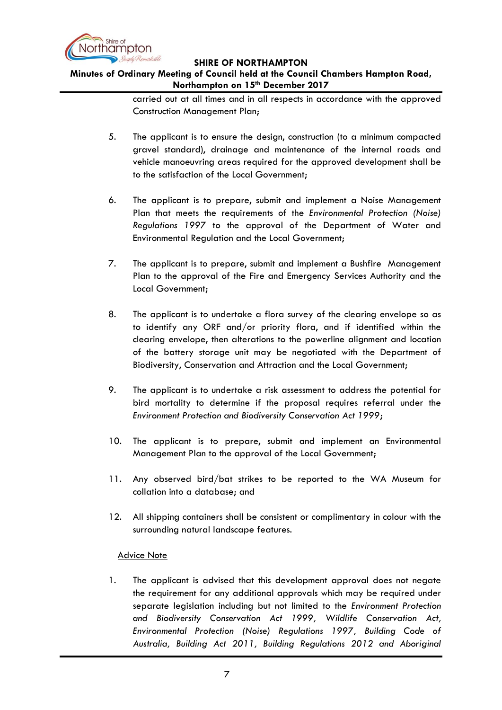

# **Minutes of Ordinary Meeting of Council held at the Council Chambers Hampton Road, Northampton on 15th December 2017**

carried out at all times and in all respects in accordance with the approved Construction Management Plan;

- 5. The applicant is to ensure the design, construction (to a minimum compacted gravel standard), drainage and maintenance of the internal roads and vehicle manoeuvring areas required for the approved development shall be to the satisfaction of the Local Government;
- 6. The applicant is to prepare, submit and implement a Noise Management Plan that meets the requirements of the *Environmental Protection (Noise) Regulations 1997* to the approval of the Department of Water and Environmental Regulation and the Local Government;
- 7. The applicant is to prepare, submit and implement a Bushfire Management Plan to the approval of the Fire and Emergency Services Authority and the Local Government;
- 8. The applicant is to undertake a flora survey of the clearing envelope so as to identify any ORF and/or priority flora, and if identified within the clearing envelope, then alterations to the powerline alignment and location of the battery storage unit may be negotiated with the Department of Biodiversity, Conservation and Attraction and the Local Government;
- 9. The applicant is to undertake a risk assessment to address the potential for bird mortality to determine if the proposal requires referral under the *Environment Protection and Biodiversity Conservation Act 1999*;
- 10. The applicant is to prepare, submit and implement an Environmental Management Plan to the approval of the Local Government;
- 11. Any observed bird/bat strikes to be reported to the WA Museum for collation into a database; and
- 12. All shipping containers shall be consistent or complimentary in colour with the surrounding natural landscape features.

## Advice Note

1. The applicant is advised that this development approval does not negate the requirement for any additional approvals which may be required under separate legislation including but not limited to the *Environment Protection and Biodiversity Conservation Act 1999, Wildlife Conservation Act, Environmental Protection (Noise) Regulations 1997, Building Code of Australia, Building Act 2011, Building Regulations 2012 and Aboriginal*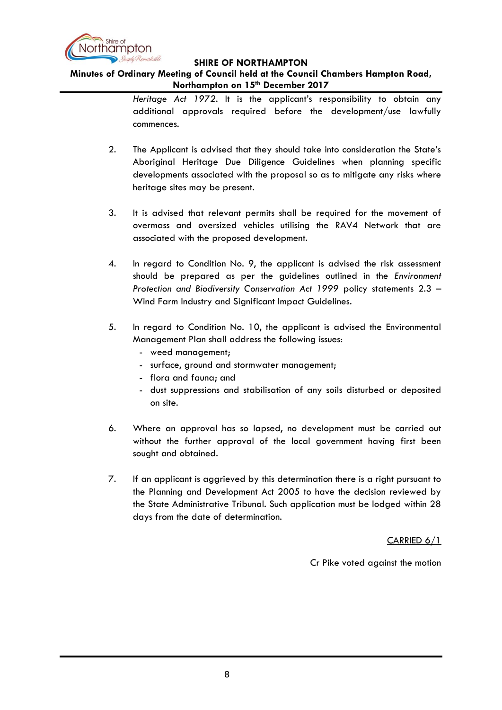

## **Minutes of Ordinary Meeting of Council held at the Council Chambers Hampton Road, Northampton on 15th December 2017**

*Heritage Act 1972*. It is the applicant's responsibility to obtain any additional approvals required before the development/use lawfully commences.

- 2. The Applicant is advised that they should take into consideration the State's Aboriginal Heritage Due Diligence Guidelines when planning specific developments associated with the proposal so as to mitigate any risks where heritage sites may be present.
- 3. It is advised that relevant permits shall be required for the movement of overmass and oversized vehicles utilising the RAV4 Network that are associated with the proposed development.
- 4. In regard to Condition No. 9, the applicant is advised the risk assessment should be prepared as per the guidelines outlined in the *Environment Protection and Biodiversity Conservation Act 1999* policy statements 2.3 – Wind Farm Industry and Significant Impact Guidelines.
- 5. In regard to Condition No. 10, the applicant is advised the Environmental Management Plan shall address the following issues:
	- weed management;
	- surface, ground and stormwater management;
	- flora and fauna; and
	- dust suppressions and stabilisation of any soils disturbed or deposited on site.
- 6. Where an approval has so lapsed, no development must be carried out without the further approval of the local government having first been sought and obtained.
- 7. If an applicant is aggrieved by this determination there is a right pursuant to the Planning and Development Act 2005 to have the decision reviewed by the State Administrative Tribunal. Such application must be lodged within 28 days from the date of determination.

CARRIED 6/1

Cr Pike voted against the motion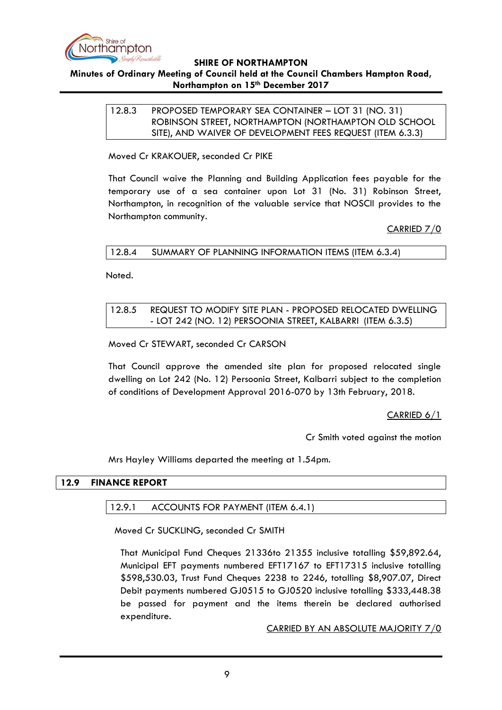

# <span id="page-8-0"></span>**Minutes of Ordinary Meeting of Council held at the Council Chambers Hampton Road, Northampton on 15th December 2017**

## 12.8.3 PROPOSED TEMPORARY SEA CONTAINER – LOT 31 (NO. 31) ROBINSON STREET, NORTHAMPTON (NORTHAMPTON OLD SCHOOL SITE), AND WAIVER OF DEVELOPMENT FEES REQUEST (ITEM 6.3.3)

Moved Cr KRAKOUER, seconded Cr PIKE

That Council waive the Planning and Building Application fees payable for the temporary use of a sea container upon Lot 31 (No. 31) Robinson Street, Northampton, in recognition of the valuable service that NOSCII provides to the Northampton community.

CARRIED 7/0

<span id="page-8-1"></span>12.8.4 SUMMARY OF PLANNING INFORMATION ITEMS (ITEM 6.3.4)

Noted.

## <span id="page-8-2"></span>12.8.5 REQUEST TO MODIFY SITE PLAN - PROPOSED RELOCATED DWELLING - LOT 242 (NO. 12) PERSOONIA STREET, KALBARRI (ITEM 6.3.5)

Moved Cr STEWART, seconded Cr CARSON

That Council approve the amended site plan for proposed relocated single dwelling on Lot 242 (No. 12) Persoonia Street, Kalbarri subject to the completion of conditions of Development Approval 2016-070 by 13th February, 2018.

CARRIED 6/1

Cr Smith voted against the motion

Mrs Hayley Williams departed the meeting at 1.54pm.

### <span id="page-8-4"></span><span id="page-8-3"></span>**12.9 FINANCE REPORT**

### 12.9.1 ACCOUNTS FOR PAYMENT (ITEM 6.4.1)

Moved Cr SUCKLING, seconded Cr SMITH

That Municipal Fund Cheques 21336to 21355 inclusive totalling \$59,892.64, Municipal EFT payments numbered EFT17167 to EFT17315 inclusive totalling \$598,530.03, Trust Fund Cheques 2238 to 2246, totalling \$8,907.07, Direct Debit payments numbered GJ0515 to GJ0520 inclusive totalling \$333,448.38 be passed for payment and the items therein be declared authorised expenditure.

CARRIED BY AN ABSOLUTE MAJORITY 7/0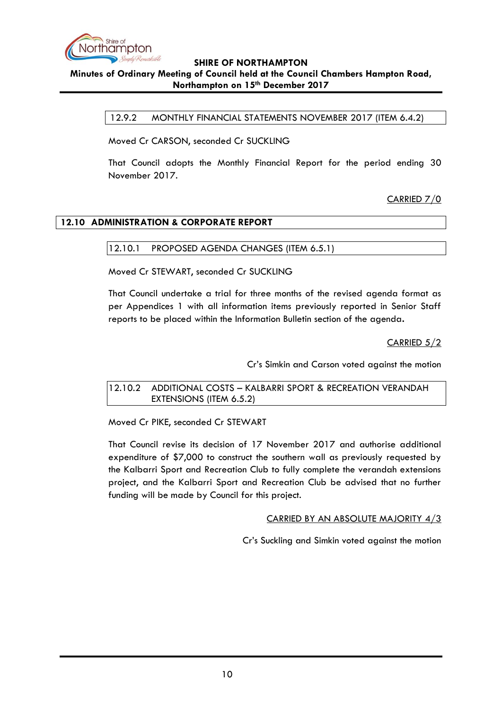

## <span id="page-9-0"></span>**Minutes of Ordinary Meeting of Council held at the Council Chambers Hampton Road, Northampton on 15th December 2017**

12.9.2 MONTHLY FINANCIAL STATEMENTS NOVEMBER 2017 (ITEM 6.4.2)

Moved Cr CARSON, seconded Cr SUCKLING

That Council adopts the Monthly Financial Report for the period ending 30 November 2017.

CARRIED 7/0

## <span id="page-9-2"></span><span id="page-9-1"></span>**12.10 ADMINISTRATION & CORPORATE REPORT**

### 12.10.1 PROPOSED AGENDA CHANGES (ITEM 6.5.1)

Moved Cr STEWART, seconded Cr SUCKLING

That Council undertake a trial for three months of the revised agenda format as per Appendices 1 with all information items previously reported in Senior Staff reports to be placed within the Information Bulletin section of the agenda**.**

CARRIED 5/2

Cr's Simkin and Carson voted against the motion

<span id="page-9-3"></span>12.10.2 ADDITIONAL COSTS – KALBARRI SPORT & RECREATION VERANDAH EXTENSIONS (ITEM 6.5.2)

Moved Cr PIKE, seconded Cr STEWART

That Council revise its decision of 17 November 2017 and authorise additional expenditure of \$7,000 to construct the southern wall as previously requested by the Kalbarri Sport and Recreation Club to fully complete the verandah extensions project, and the Kalbarri Sport and Recreation Club be advised that no further funding will be made by Council for this project.

CARRIED BY AN ABSOLUTE MAJORITY 4/3

Cr's Suckling and Simkin voted against the motion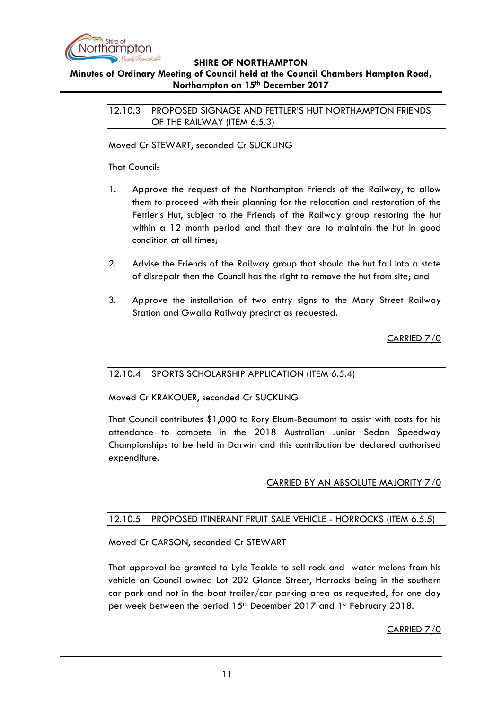

# <span id="page-10-0"></span>**Minutes of Ordinary Meeting of Council held at the Council Chambers Hampton Road, Northampton on 15th December 2017**

12.10.3 PROPOSED SIGNAGE AND FETTLER'S HUT NORTHAMPTON FRIENDS OF THE RAILWAY (ITEM 6.5.3)

Moved Cr STEWART, seconded Cr SUCKLING

That Council:

- 1. Approve the request of the Northampton Friends of the Railway, to allow them to proceed with their planning for the relocation and restoration of the Fettler's Hut, subject to the Friends of the Railway group restoring the hut within a 12 month period and that they are to maintain the hut in good condition at all times;
- 2. Advise the Friends of the Railway group that should the hut fall into a state of disrepair then the Council has the right to remove the hut from site; and
- 3. Approve the installation of two entry signs to the Mary Street Railway Station and Gwalla Railway precinct as requested.

CARRIED 7/0

## <span id="page-10-1"></span>12.10.4 SPORTS SCHOLARSHIP APPLICATION (ITEM 6.5.4)

Moved Cr KRAKOUER, seconded Cr SUCKLING

That Council contributes \$1,000 to Rory Elsum-Beaumont to assist with costs for his attendance to compete in the 2018 Australian Junior Sedan Speedway Championships to be held in Darwin and this contribution be declared authorised expenditure.

CARRIED BY AN ABSOLUTE MAJORITY 7/0

## <span id="page-10-2"></span>12.10.5 PROPOSED ITINERANT FRUIT SALE VEHICLE - HORROCKS (ITEM 6.5.5)

## Moved Cr CARSON, seconded Cr STEWART

That approval be granted to Lyle Teakle to sell rock and water melons from his vehicle on Council owned Lot 202 Glance Street, Horrocks being in the southern car park and not in the boat trailer/car parking area as requested, for one day per week between the period  $15<sup>th</sup>$  December 2017 and 1<sup>st</sup> February 2018.

CARRIED 7/0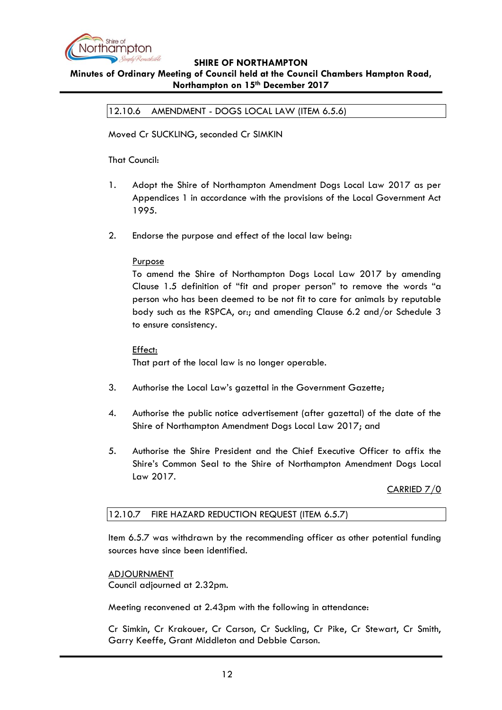

# <span id="page-11-0"></span>**Minutes of Ordinary Meeting of Council held at the Council Chambers Hampton Road, Northampton on 15th December 2017**

12.10.6 AMENDMENT - DOGS LOCAL LAW (ITEM 6.5.6)

Moved Cr SUCKLING, seconded Cr SIMKIN

That Council:

- 1. Adopt the Shire of Northampton Amendment Dogs Local Law 2017 as per Appendices 1 in accordance with the provisions of the Local Government Act 1995.
- 2. Endorse the purpose and effect of the local law being:

## Purpose

To amend the Shire of Northampton Dogs Local Law 2017 by amending Clause 1.5 definition of "fit and proper person" to remove the words "a person who has been deemed to be not fit to care for animals by reputable body such as the RSPCA, or:; and amending Clause 6.2 and/or Schedule 3 to ensure consistency.

### Effect:

That part of the local law is no longer operable.

- 3. Authorise the Local Law's gazettal in the Government Gazette;
- 4. Authorise the public notice advertisement (after gazettal) of the date of the Shire of Northampton Amendment Dogs Local Law 2017; and
- 5. Authorise the Shire President and the Chief Executive Officer to affix the Shire's Common Seal to the Shire of Northampton Amendment Dogs Local Law 2017.

CARRIED 7/0

### <span id="page-11-1"></span>12.10.7 FIRE HAZARD REDUCTION REQUEST (ITEM 6.5.7)

Item 6.5.7 was withdrawn by the recommending officer as other potential funding sources have since been identified.

ADJOURNMENT Council adjourned at 2.32pm.

Meeting reconvened at 2.43pm with the following in attendance:

Cr Simkin, Cr Krakouer, Cr Carson, Cr Suckling, Cr Pike, Cr Stewart, Cr Smith, Garry Keeffe, Grant Middleton and Debbie Carson.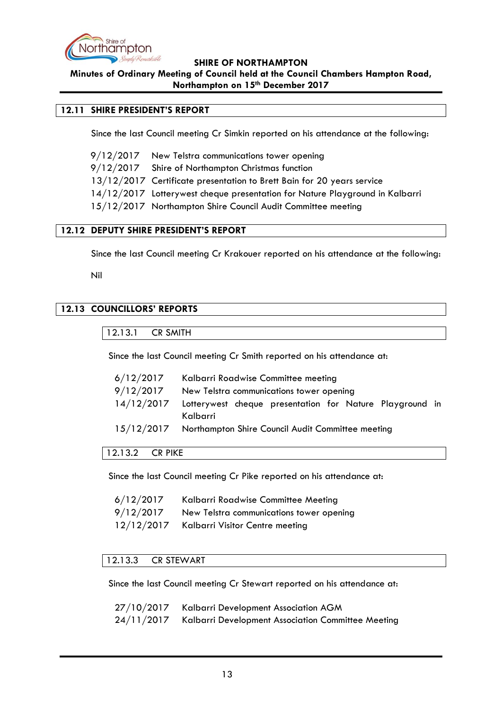

**Minutes of Ordinary Meeting of Council held at the Council Chambers Hampton Road, Northampton on 15th December 2017**

## <span id="page-12-0"></span>**12.11 SHIRE PRESIDENT'S REPORT**

Since the last Council meeting Cr Simkin reported on his attendance at the following:

| 9/12/2017 New Telstra communications tower opening                           |
|------------------------------------------------------------------------------|
| 9/12/2017 Shire of Northampton Christmas function                            |
| 13/12/2017 Certificate presentation to Brett Bain for 20 years service       |
| 14/12/2017 Lotterywest cheque presentation for Nature Playground in Kalbarri |
| 15/12/2017 Northampton Shire Council Audit Committee meeting                 |

### <span id="page-12-1"></span>**12.12 DEPUTY SHIRE PRESIDENT'S REPORT**

Since the last Council meeting Cr Krakouer reported on his attendance at the following:

Nil

# <span id="page-12-3"></span><span id="page-12-2"></span>**12.13 COUNCILLORS' REPORTS**

12.13.1 CR SMITH

Since the last Council meeting Cr Smith reported on his attendance at:

| 6/12/2017  | Kalbarri Roadwise Committee meeting                                  |  |  |
|------------|----------------------------------------------------------------------|--|--|
| 9/12/2017  | New Telstra communications tower opening                             |  |  |
| 14/12/2017 | Lotterywest cheque presentation for Nature Playground in<br>Kalbarri |  |  |
|            | 15/12/2017 Northampton Shire Council Audit Committee meeting         |  |  |

### <span id="page-12-4"></span>12.13.2 CR PIKE

Since the last Council meeting Cr Pike reported on his attendance at:

| 6/12/2017  | Kalbarri Roadwise Committee Meeting      |
|------------|------------------------------------------|
| 9/12/2017  | New Telstra communications tower opening |
| 12/12/2017 | Kalbarri Visitor Centre meeting          |

### <span id="page-12-5"></span>12.13.3 CR STEWART

Since the last Council meeting Cr Stewart reported on his attendance at:

| 27/10/2017 Kalbarri Development Association AGM               |
|---------------------------------------------------------------|
| 24/11/2017 Kalbarri Development Association Committee Meeting |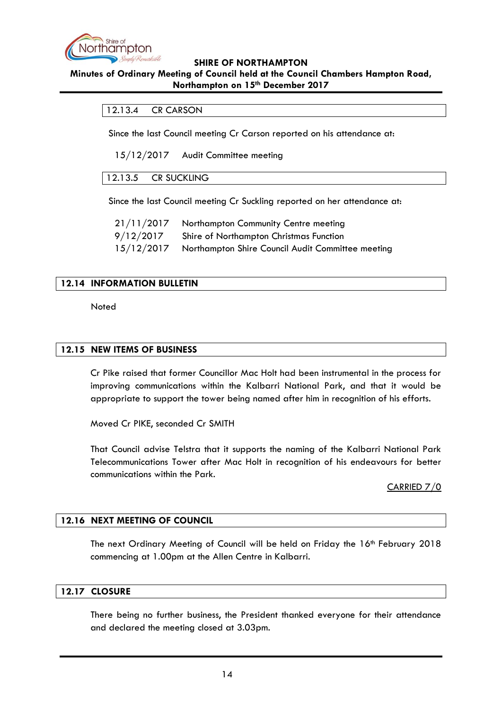

### <span id="page-13-0"></span>**Minutes of Ordinary Meeting of Council held at the Council Chambers Hampton Road, Northampton on 15th December 2017**

### 12.13.4 CR CARSON

Since the last Council meeting Cr Carson reported on his attendance at:

15/12/2017 Audit Committee meeting

### <span id="page-13-1"></span>12.13.5 CR SUCKLING

Since the last Council meeting Cr Suckling reported on her attendance at:

| 21/11/2017 | Northampton Community Centre meeting              |
|------------|---------------------------------------------------|
| 9/12/2017  | Shire of Northampton Christmas Function           |
| 15/12/2017 | Northampton Shire Council Audit Committee meeting |

### <span id="page-13-2"></span>**12.14 INFORMATION BULLETIN**

**Noted** 

## <span id="page-13-3"></span>**12.15 NEW ITEMS OF BUSINESS**

Cr Pike raised that former Councillor Mac Holt had been instrumental in the process for improving communications within the Kalbarri National Park, and that it would be appropriate to support the tower being named after him in recognition of his efforts.

Moved Cr PIKE, seconded Cr SMITH

That Council advise Telstra that it supports the naming of the Kalbarri National Park Telecommunications Tower after Mac Holt in recognition of his endeavours for better communications within the Park.

CARRIED 7/0

### <span id="page-13-4"></span>**12.16 NEXT MEETING OF COUNCIL**

The next Ordinary Meeting of Council will be held on Friday the 16th February 2018 commencing at 1.00pm at the Allen Centre in Kalbarri.

### <span id="page-13-5"></span>**12.17 CLOSURE**

There being no further business, the President thanked everyone for their attendance and declared the meeting closed at 3.03pm.